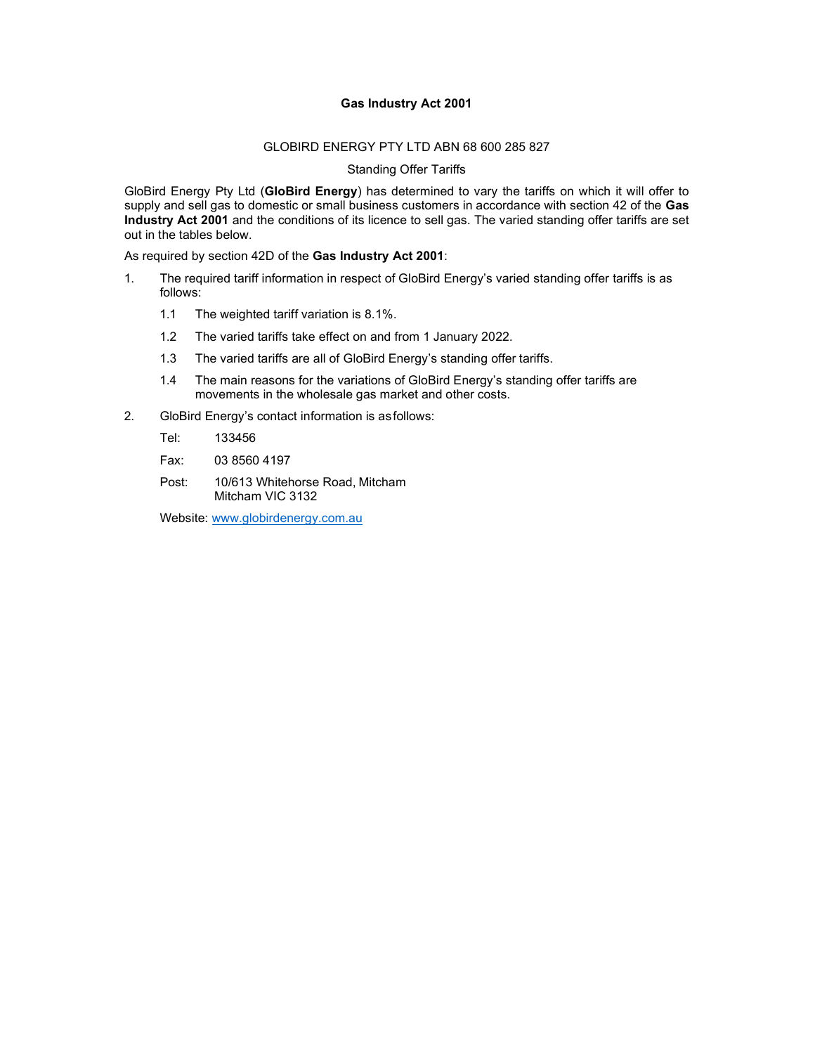## Gas Industry Act 2001

#### GLOBIRD ENERGY PTY LTD ABN 68 600 285 827

#### Standing Offer Tariffs

GloBird Energy Pty Ltd (GloBird Energy) has determined to vary the tariffs on which it will offer to supply and sell gas to domestic or small business customers in accordance with section 42 of the Gas Industry Act 2001 and the conditions of its licence to sell gas. The varied standing offer tariffs are set out in the tables below.

As required by section 42D of the Gas Industry Act 2001:

- 1. The required tariff information in respect of GloBird Energy's varied standing offer tariffs is as follows:
	- 1.1 The weighted tariff variation is 8.1%.
	- 1.2 The varied tariffs take effect on and from 1 January 2022.
	- 1.3 The varied tariffs are all of GloBird Energy's standing offer tariffs.
	- 1.4 The main reasons for the variations of GloBird Energy's standing offer tariffs are movements in the wholesale gas market and other costs.
- 2. GloBird Energy's contact information is as follows:

Tel: 133456

- Fax: 03 8560 4197
- Post: 10/613 Whitehorse Road, Mitcham Mitcham VIC 3132

Website: www.globirdenergy.com.au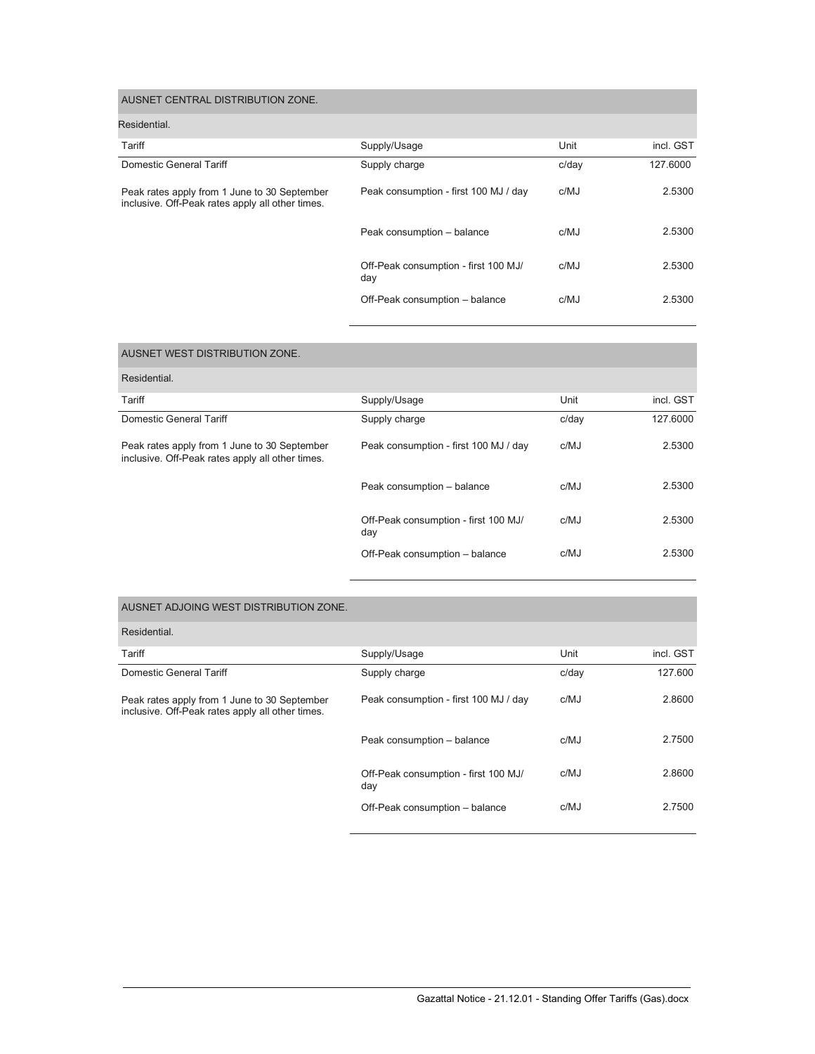| AUSNET CENTRAL DISTRIBUTION ZONE.                                                                |                                             |       |           |
|--------------------------------------------------------------------------------------------------|---------------------------------------------|-------|-----------|
| Residential.                                                                                     |                                             |       |           |
| Tariff                                                                                           | Supply/Usage                                | Unit  | incl. GST |
| Domestic General Tariff                                                                          | Supply charge                               | c/dav | 127.6000  |
| Peak rates apply from 1 June to 30 September<br>inclusive. Off-Peak rates apply all other times. | Peak consumption - first 100 MJ / day       | c/MJ  | 2.5300    |
|                                                                                                  | Peak consumption - balance                  | c/MJ  | 2.5300    |
|                                                                                                  | Off-Peak consumption - first 100 MJ/<br>day | c/MJ  | 2.5300    |
|                                                                                                  | Off-Peak consumption - balance              | c/MJ  | 2.5300    |

| AUSNET WEST DISTRIBUTION ZONE.                                                                   |                                             |       |           |
|--------------------------------------------------------------------------------------------------|---------------------------------------------|-------|-----------|
| Residential.                                                                                     |                                             |       |           |
| Tariff                                                                                           | Supply/Usage                                | Unit  | incl. GST |
| Domestic General Tariff                                                                          | Supply charge                               | c/day | 127.6000  |
| Peak rates apply from 1 June to 30 September<br>inclusive. Off-Peak rates apply all other times. | Peak consumption - first 100 MJ / day       | c/MJ  | 2.5300    |
|                                                                                                  | Peak consumption - balance                  | c/MJ  | 2.5300    |
|                                                                                                  | Off-Peak consumption - first 100 MJ/<br>day | c/MJ  | 2.5300    |
|                                                                                                  | Off-Peak consumption - balance              | c/MJ  | 2.5300    |

| AUSNET ADJOING WEST DISTRIBUTION ZONE.                                                           |                                             |       |           |
|--------------------------------------------------------------------------------------------------|---------------------------------------------|-------|-----------|
| Residential.                                                                                     |                                             |       |           |
| Tariff                                                                                           | Supply/Usage                                | Unit  | incl. GST |
| Domestic General Tariff                                                                          | Supply charge                               | c/day | 127.600   |
| Peak rates apply from 1 June to 30 September<br>inclusive. Off-Peak rates apply all other times. | Peak consumption - first 100 MJ / day       | c/MJ  | 2.8600    |
|                                                                                                  | Peak consumption - balance                  | c/MJ  | 2.7500    |
|                                                                                                  | Off-Peak consumption - first 100 MJ/<br>day | c/MJ  | 2.8600    |
|                                                                                                  | Off-Peak consumption - balance              | c/MJ  | 2.7500    |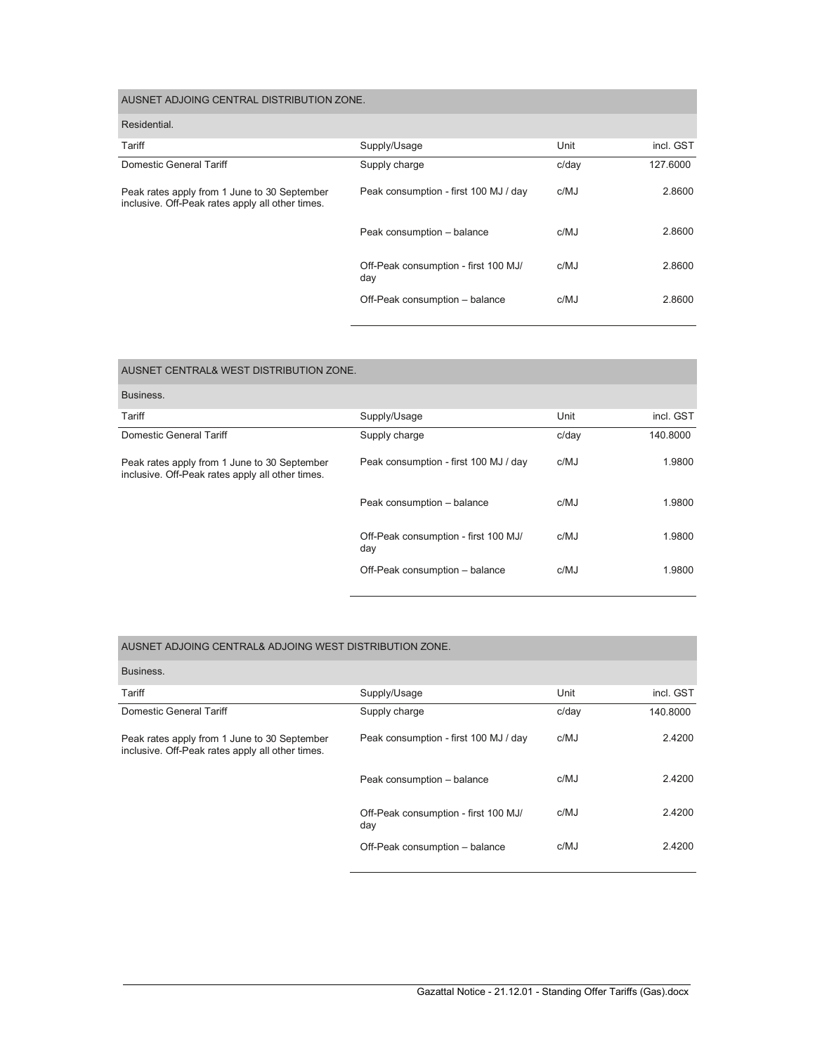| AUSNET ADJOING CENTRAL DISTRIBUTION ZONE.                                                        |                                             |       |           |
|--------------------------------------------------------------------------------------------------|---------------------------------------------|-------|-----------|
| Residential.                                                                                     |                                             |       |           |
| Tariff                                                                                           | Supply/Usage                                | Unit  | incl. GST |
| Domestic General Tariff                                                                          | Supply charge                               | c/day | 127.6000  |
| Peak rates apply from 1 June to 30 September<br>inclusive. Off-Peak rates apply all other times. | Peak consumption - first 100 MJ / day       | c/MJ  | 2.8600    |
|                                                                                                  | Peak consumption - balance                  | c/MJ  | 2.8600    |
|                                                                                                  | Off-Peak consumption - first 100 MJ/<br>day | c/MJ  | 2.8600    |
|                                                                                                  | Off-Peak consumption - balance              | c/MJ  | 2.8600    |

| AUSNET CENTRAL& WEST DISTRIBUTION ZONE.                                                          |                                             |       |           |
|--------------------------------------------------------------------------------------------------|---------------------------------------------|-------|-----------|
| Business.                                                                                        |                                             |       |           |
| Tariff                                                                                           | Supply/Usage                                | Unit  | incl. GST |
| Domestic General Tariff                                                                          | Supply charge                               | c/day | 140.8000  |
| Peak rates apply from 1 June to 30 September<br>inclusive. Off-Peak rates apply all other times. | Peak consumption - first 100 MJ / day       | c/MJ  | 1.9800    |
|                                                                                                  | Peak consumption - balance                  | c/MJ  | 1.9800    |
|                                                                                                  | Off-Peak consumption - first 100 MJ/<br>day | c/MJ  | 1.9800    |
|                                                                                                  | Off-Peak consumption - balance              | c/MJ  | 1.9800    |

## AUSNET ADJOING CENTRAL& ADJOING WEST DISTRIBUTION ZONE.

| Business.                                                                                        |                                             |       |           |
|--------------------------------------------------------------------------------------------------|---------------------------------------------|-------|-----------|
| Tariff                                                                                           | Supply/Usage                                | Unit  | incl. GST |
| Domestic General Tariff                                                                          | Supply charge                               | c/dav | 140.8000  |
| Peak rates apply from 1 June to 30 September<br>inclusive. Off-Peak rates apply all other times. | Peak consumption - first 100 MJ / day       | c/MJ  | 2.4200    |
|                                                                                                  | Peak consumption - balance                  | c/MJ  | 2.4200    |
|                                                                                                  | Off-Peak consumption - first 100 MJ/<br>day | c/MJ  | 2.4200    |
|                                                                                                  | Off-Peak consumption - balance              | c/MJ  | 2.4200    |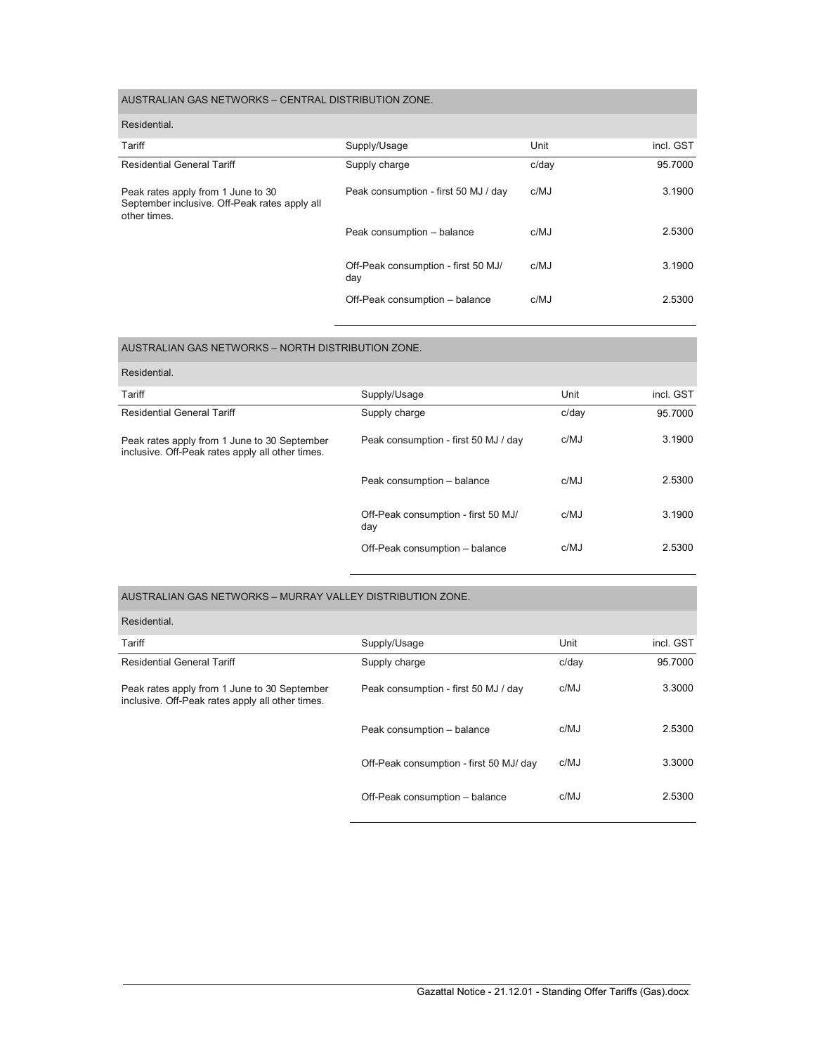# AUSTRALIAN GAS NETWORKS – CENTRAL DISTRIBUTION ZONE.

| Residential.                                                                                        |                                            |       |           |
|-----------------------------------------------------------------------------------------------------|--------------------------------------------|-------|-----------|
| Tariff                                                                                              | Supply/Usage                               | Unit  | incl. GST |
| <b>Residential General Tariff</b>                                                                   | Supply charge                              | c/day | 95.7000   |
| Peak rates apply from 1 June to 30<br>September inclusive. Off-Peak rates apply all<br>other times. | Peak consumption - first 50 MJ / day       | c/MJ  | 3.1900    |
|                                                                                                     | Peak consumption - balance                 | c/MJ  | 2.5300    |
|                                                                                                     | Off-Peak consumption - first 50 MJ/<br>day | c/MJ  | 3.1900    |
|                                                                                                     | Off-Peak consumption - balance             | c/MJ  | 2.5300    |

| AUSTRALIAN GAS NETWORKS - NORTH DISTRIBUTION ZONE.                                               |                                            |       |           |
|--------------------------------------------------------------------------------------------------|--------------------------------------------|-------|-----------|
| Residential.                                                                                     |                                            |       |           |
| Tariff                                                                                           | Supply/Usage                               | Unit  | incl. GST |
| <b>Residential General Tariff</b>                                                                | Supply charge                              | c/day | 95.7000   |
| Peak rates apply from 1 June to 30 September<br>inclusive. Off-Peak rates apply all other times. | Peak consumption - first 50 MJ / day       | c/MJ  | 3.1900    |
|                                                                                                  | Peak consumption - balance                 | c/MJ  | 2.5300    |
|                                                                                                  | Off-Peak consumption - first 50 MJ/<br>day | c/MJ  | 3.1900    |
|                                                                                                  | Off-Peak consumption - balance             | c/MJ  | 2.5300    |

| AUSTRALIAN GAS NETWORKS - MURRAY VALLEY DISTRIBUTION ZONE.                                       |                                         |       |           |
|--------------------------------------------------------------------------------------------------|-----------------------------------------|-------|-----------|
| Residential.                                                                                     |                                         |       |           |
| Tariff                                                                                           | Supply/Usage                            | Unit  | incl. GST |
| <b>Residential General Tariff</b>                                                                | Supply charge                           | c/day | 95.7000   |
| Peak rates apply from 1 June to 30 September<br>inclusive. Off-Peak rates apply all other times. | Peak consumption - first 50 MJ / day    | c/MJ  | 3.3000    |
|                                                                                                  | Peak consumption - balance              | c/MJ  | 2.5300    |
|                                                                                                  | Off-Peak consumption - first 50 MJ/ day | c/MJ  | 3.3000    |
|                                                                                                  | Off-Peak consumption - balance          | c/MJ  | 2.5300    |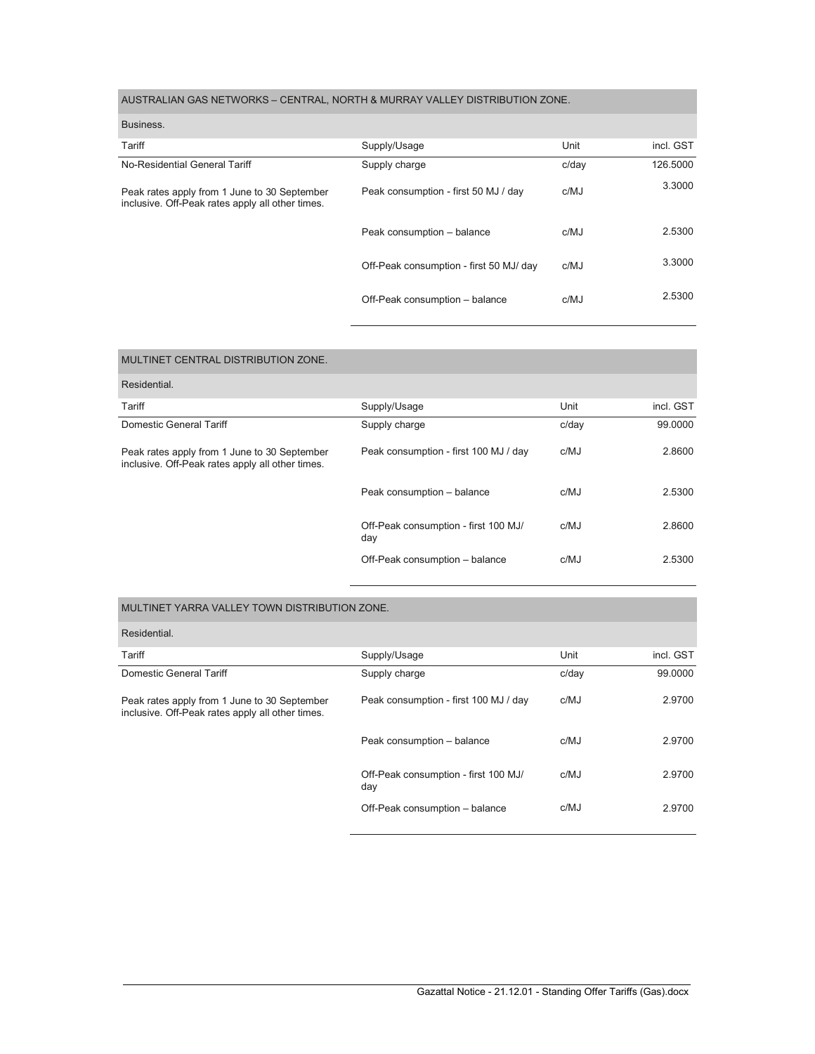# AUSTRALIAN GAS NETWORKS – CENTRAL, NORTH & MURRAY VALLEY DISTRIBUTION ZONE.

| Business.                                                                                        |                                         |       |           |
|--------------------------------------------------------------------------------------------------|-----------------------------------------|-------|-----------|
| Tariff                                                                                           | Supply/Usage                            | Unit  | incl. GST |
| No-Residential General Tariff                                                                    | Supply charge                           | c/day | 126,5000  |
| Peak rates apply from 1 June to 30 September<br>inclusive. Off-Peak rates apply all other times. | Peak consumption - first 50 MJ / day    | c/MJ  | 3.3000    |
|                                                                                                  | Peak consumption - balance              | c/MJ  | 2.5300    |
|                                                                                                  | Off-Peak consumption - first 50 MJ/ day | c/MJ  | 3.3000    |
|                                                                                                  | Off-Peak consumption - balance          | c/MJ  | 2.5300    |
|                                                                                                  |                                         |       |           |

| MULTINET CENTRAL DISTRIBUTION ZONE.                                                              |                                             |       |           |
|--------------------------------------------------------------------------------------------------|---------------------------------------------|-------|-----------|
| Residential.                                                                                     |                                             |       |           |
| Tariff                                                                                           | Supply/Usage                                | Unit  | incl. GST |
| Domestic General Tariff                                                                          | Supply charge                               | c/day | 99,0000   |
| Peak rates apply from 1 June to 30 September<br>inclusive. Off-Peak rates apply all other times. | Peak consumption - first 100 MJ / day       | c/MJ  | 2.8600    |
|                                                                                                  | Peak consumption - balance                  | c/MJ  | 2.5300    |
|                                                                                                  | Off-Peak consumption - first 100 MJ/<br>day | c/MJ  | 2.8600    |
|                                                                                                  | Off-Peak consumption - balance              | c/MJ  | 2.5300    |

### MULTINET YARRA VALLEY TOWN DISTRIBUTION ZONE.

| Residential.                                                                                     |                                             |       |           |
|--------------------------------------------------------------------------------------------------|---------------------------------------------|-------|-----------|
| Tariff                                                                                           | Supply/Usage                                | Unit  | incl. GST |
| Domestic General Tariff                                                                          | Supply charge                               | c/day | 99.0000   |
| Peak rates apply from 1 June to 30 September<br>inclusive. Off-Peak rates apply all other times. | Peak consumption - first 100 MJ / day       | c/MJ  | 2.9700    |
|                                                                                                  | Peak consumption - balance                  | c/MJ  | 2.9700    |
|                                                                                                  | Off-Peak consumption - first 100 MJ/<br>day | c/MJ  | 2.9700    |
|                                                                                                  | Off-Peak consumption - balance              | c/MJ  | 2.9700    |